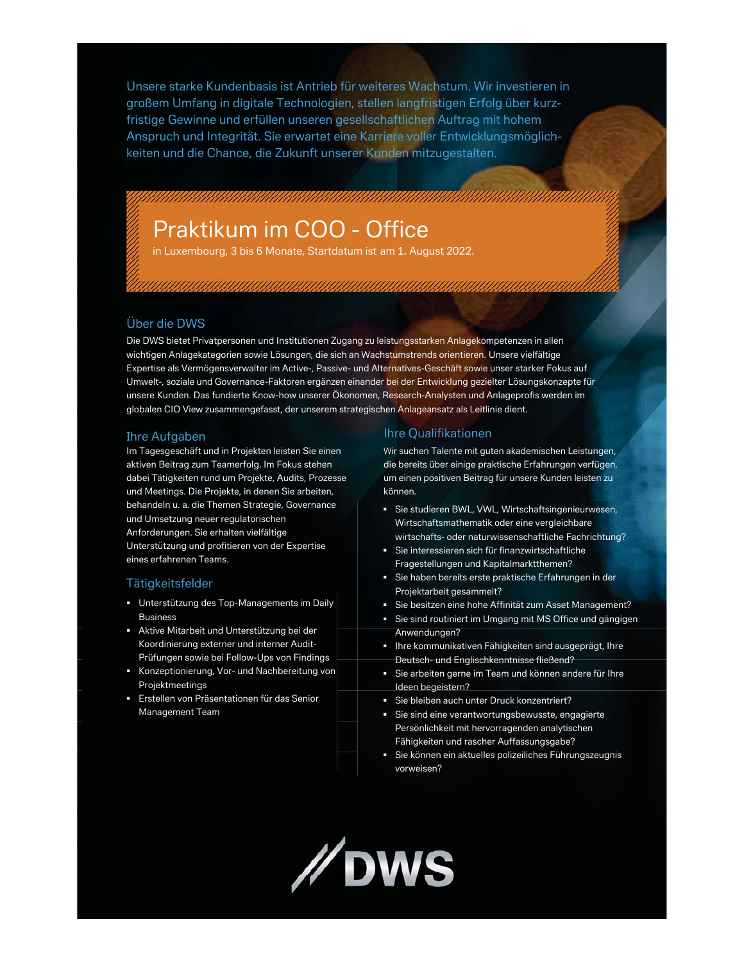Unsere starke Kundenbasis ist Antrieb für weiteres Wachstum. Wir investieren in großem Umfang in digitale Technologien, stellen langfristigen Erfolg über kurzfristige Gewinne und erfüllen unseren gesellschaftlichen Auftrag mit hohem Anspruch und Integrität. Sie erwartet eine Karriere voller Entwicklungsmöglichkeiten und die Chance, die Zukunft unserer Kunden mitzugestalten.

# Praktikum im COO - Office

in Luxembourg, 3 bis 6 Monate, Startdatum ist am 1. August 2022.

# Über die DWS

Die DWS bietet Privatpersonen und Institutionen Zugang zu leistungsstarken Anlagekompetenzen in allen wichtigen Anlagekategorien sowie Lösungen, die sich an Wachstumstrends orientieren. Unsere vielfältige Expertise als Vermögensverwalter im Active-, Passive- und Alternatives-Geschäft sowie unser starker Fokus auf Umwelt-, soziale und Governance-Faktoren ergänzen einander bei der Entwicklung gezielter Lösungskonzepte für unsere Kunden. Das fundierte Know-how unserer Ökonomen, Research-Analysten und Anlageprofis werden im globalen CIO View zusammengefasst, der unserem strategischen Anlageansatz als Leitlinie dient.

#### **Ihre Aufgaben**

Im Tagesgeschäft und in Projekten leisten Sie einen aktiven Beitrag zum Teamerfolg. Im Fokus stehen dabei Tätigkeiten rund um Projekte, Audits, Prozesse und Meetings. Die Projekte, in denen Sie arbeiten, behandeln u. a. die Themen Strategie, Governance und Umsetzung neuer regulatorischen Anforderungen. Sie erhalten vielfältige Unterstützung und profitieren von der Expertise eines erfahrenen Teams.

#### Tätigkeitsfelder

- Unterstützung des Top-Managements im Daily **Business**
- Aktive Mitarbeit und Unterstützung bei der Koordinierung externer und interner Audit-Prüfungen sowie bei Follow-Ups von Findings
- Konzeptionierung, Vor- und Nachbereitung von Projektmeetings
- · Erstellen von Präsentationen für das Senior Management Team

## Ihre Qualifikationen

Wir suchen Talente mit guten akademischen Leistungen, die bereits über einige praktische Erfahrungen verfügen, um einen positiven Beitrag für unsere Kunden leisten zu können.

- · Sie studieren BWL, VWL, Wirtschaftsingenieurwesen, Wirtschaftsmathematik oder eine vergleichbare wirtschafts- oder naturwissenschaftliche Fachrichtung?
- Sie interessieren sich für finanzwirtschaftliche Fragestellungen und Kapitalmarktthemen?
- Sie haben bereits erste praktische Erfahrungen in der Projektarbeit gesammelt?
- Sie besitzen eine hohe Affinität zum Asset Management?
- Sie sind routiniert im Umgang mit MS Office und gängigen Anwendungen?
- Ihre kommunikativen Fähigkeiten sind ausgeprägt, Ihre Deutsch- und Englischkenntnisse fließend?
- Sie arbeiten gerne im Team und können andere für Ihre Ideen begeistern?
- Sie bleiben auch unter Druck konzentriert?
- · Sie sind eine verantwortungsbewusste, engagierte Persönlichkeit mit hervorragenden analytischen Fähigkeiten und rascher Auffassungsgabe?
- Sie können ein aktuelles polizeiliches Führungszeugnis vorweisen?